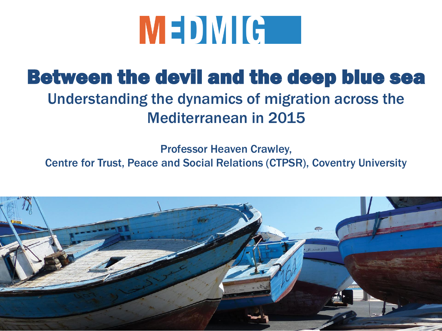

#### Between the devil and the deep blue sea Understanding the dynamics of migration across the Mediterranean in 2015

Professor Heaven Crawley,

Centre for Trust, Peace and Social Relations (CTPSR), Coventry University

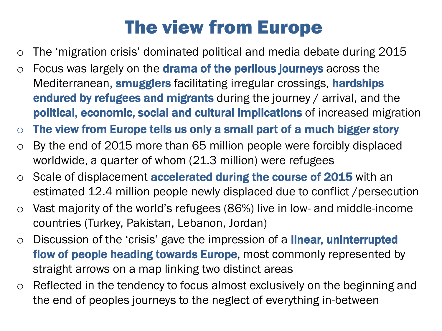# The view from Europe

- o The 'migration crisis' dominated political and media debate during 2015
- $\circ$  Focus was largely on the **drama of the perilous journeys** across the Mediterranean, smugglers facilitating irregular crossings, hardships endured by refugees and migrants during the journey / arrival, and the political, economic, social and cultural implications of increased migration
- $\circ$  The view from Europe tells us only a small part of a much bigger story
- o By the end of 2015 more than 65 million people were forcibly displaced worldwide, a quarter of whom (21.3 million) were refugees
- o Scale of displacement **accelerated during the course of 2015** with an estimated 12.4 million people newly displaced due to conflict /persecution
- Vast majority of the world's refugees (86%) live in low- and middle-income countries (Turkey, Pakistan, Lebanon, Jordan)
- o Discussion of the 'crisis' gave the impression of a **linear, uninterrupted** flow of people heading towards Europe, most commonly represented by straight arrows on a map linking two distinct areas
- o Reflected in the tendency to focus almost exclusively on the beginning and the end of peoples journeys to the neglect of everything in-between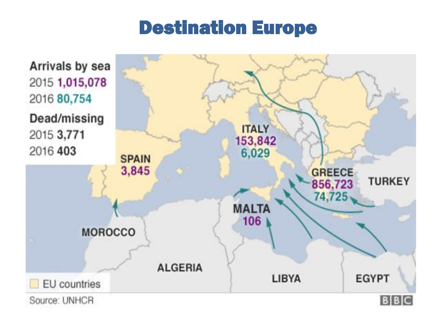#### Destination Europe

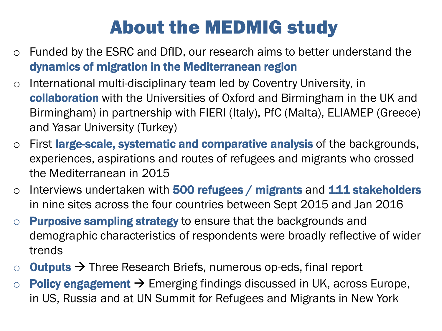# About the MEDMIG study

- o Funded by the ESRC and DfID, our research aims to better understand the dynamics of migration in the Mediterranean region
- o International multi-disciplinary team led by Coventry University, in collaboration with the Universities of Oxford and Birmingham in the UK and Birmingham) in partnership with FIERI (Italy), PfC (Malta), ELIAMEP (Greece) and Yasar University (Turkey)
- o First large-scale, systematic and comparative analysis of the backgrounds, experiences, aspirations and routes of refugees and migrants who crossed the Mediterranean in 2015
- $\circ$  Interviews undertaken with 500 refugees / migrants and 111 stakeholders in nine sites across the four countries between Sept 2015 and Jan 2016
- $\circ$  Purposive sampling strategy to ensure that the backgrounds and demographic characteristics of respondents were broadly reflective of wider trends
- $\circ$  **Outputs**  $\rightarrow$  Three Research Briefs, numerous op-eds, final report
- $\circ$  Policy engagement  $\rightarrow$  Emerging findings discussed in UK, across Europe, in US, Russia and at UN Summit for Refugees and Migrants in New York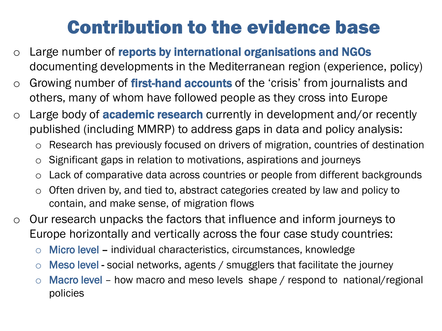# Contribution to the evidence base

- o Large number of reports by international organisations and NGOs documenting developments in the Mediterranean region (experience, policy)
- $\circ$  Growing number of first-hand accounts of the 'crisis' from journalists and others, many of whom have followed people as they cross into Europe
- $\circ$  Large body of **academic research** currently in development and/or recently published (including MMRP) to address gaps in data and policy analysis:
	- o Research has previously focused on drivers of migration, countries of destination
	- o Significant gaps in relation to motivations, aspirations and journeys
	- o Lack of comparative data across countries or people from different backgrounds
	- o Often driven by, and tied to, abstract categories created by law and policy to contain, and make sense, of migration flows
- o Our research unpacks the factors that influence and inform journeys to Europe horizontally and vertically across the four case study countries:
	- $\circ$  Micro level individual characteristics, circumstances, knowledge
	- $\circ$  Meso level social networks, agents / smugglers that facilitate the journey
	- $\circ$  Macro level how macro and meso levels shape / respond to national/regional policies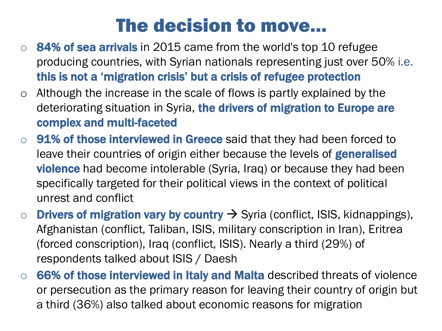### The decision to move…

- $\circ$  84% of sea arrivals in 2015 came from the world's top 10 refugee producing countries, with Syrian nationals representing just over 50% i.e. this is not a 'migration crisis' but a crisis of refugee protection
- $\circ$  Although the increase in the scale of flows is partly explained by the deteriorating situation in Syria, the drivers of migration to Europe are complex and multi-faceted
- $\circ$  91% of those interviewed in Greece said that they had been forced to leave their countries of origin either because the levels of **generalised violence** had become intolerable (Syria, Iraq) or because they had been specifically targeted for their political views in the context of political unrest and conflict
- o **Drivers of migration vary by country**  $\rightarrow$  Syria (conflict, ISIS, kidnappings), Afghanistan (conflict, Taliban, ISIS, military conscription in Iran), Eritrea (forced conscription), Iraq (conflict, ISIS). Nearly a third (29%) of respondents talked about ISIS / Daesh
- 66% of those interviewed in Italy and Malta described threats of violence or persecution as the primary reason for leaving their country of origin but a third (36%) also talked about economic reasons for migration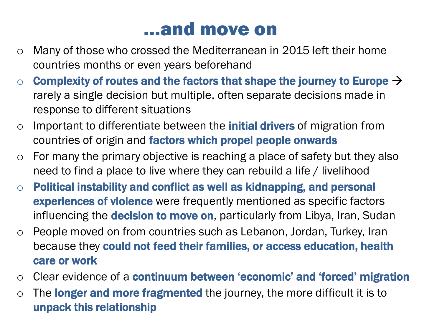#### …and move on

- o Many of those who crossed the Mediterranean in 2015 left their home countries months or even years beforehand
- $\circ$  Complexity of routes and the factors that shape the journey to Europe  $\rightarrow$ rarely a single decision but multiple, often separate decisions made in response to different situations
- o Important to differentiate between the **initial drivers** of migration from countries of origin and factors which propel people onwards
- $\circ$  For many the primary objective is reaching a place of safety but they also need to find a place to live where they can rebuild a life / livelihood
- o Political instability and conflict as well as kidnapping, and personal **experiences of violence** were frequently mentioned as specific factors influencing the **decision to move on**, particularly from Libya, Iran, Sudan
- o People moved on from countries such as Lebanon, Jordan, Turkey, Iran because they could not feed their families, or access education, health care or work
- o Clear evidence of a continuum between 'economic' and 'forced' migration
- $\circ$  The longer and more fragmented the journey, the more difficult it is to unpack this relationship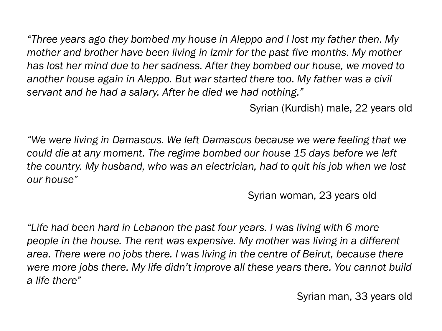*"Three years ago they bombed my house in Aleppo and I lost my father then. My mother and brother have been living in Izmir for the past five months. My mother has lost her mind due to her sadness. After they bombed our house, we moved to another house again in Aleppo. But war started there too. My father was a civil servant and he had a salary. After he died we had nothing."* 

Syrian (Kurdish) male, 22 years old

*"We were living in Damascus. We left Damascus because we were feeling that we could die at any moment. The regime bombed our house 15 days before we left the country. My husband, who was an electrician, had to quit his job when we lost our house"*

Syrian woman, 23 years old

*"Life had been hard in Lebanon the past four years. I was living with 6 more people in the house. The rent was expensive. My mother was living in a different area. There were no jobs there. I was living in the centre of Beirut, because there were more jobs there. My life didn't improve all these years there. You cannot build a life there"*

Syrian man, 33 years old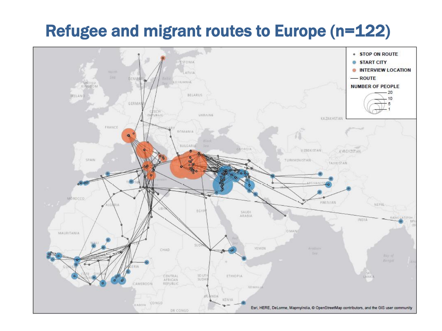#### Refugee and migrant routes to Europe (n=122)

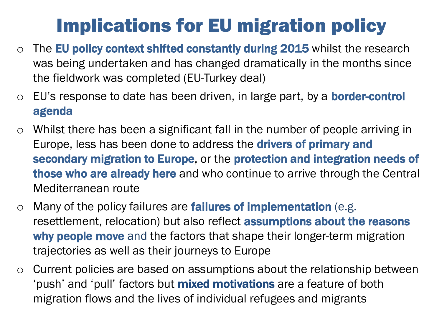# Implications for EU migration policy

- $\circ$  The EU policy context shifted constantly during 2015 whilst the research was being undertaken and has changed dramatically in the months since the fieldwork was completed (EU-Turkey deal)
- $\circ$  EU's response to date has been driven, in large part, by a **border-control** agenda
- o Whilst there has been a significant fall in the number of people arriving in Europe, less has been done to address the **drivers of primary and** secondary migration to Europe, or the protection and integration needs of those who are already here and who continue to arrive through the Central Mediterranean route
- $\circ$  Many of the policy failures are failures of implementation (e.g. resettlement, relocation) but also reflect **assumptions about the reasons** why people move and the factors that shape their longer-term migration trajectories as well as their journeys to Europe
- o Current policies are based on assumptions about the relationship between 'push' and 'pull' factors but **mixed motivations** are a feature of both migration flows and the lives of individual refugees and migrants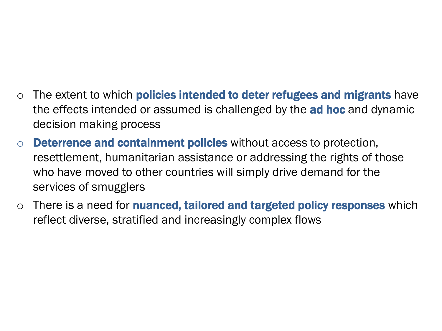- $\circ$  The extent to which **policies intended to deter refugees and migrants** have the effects intended or assumed is challenged by the **ad hoc** and dynamic decision making process
- o Deterrence and containment policies without access to protection, resettlement, humanitarian assistance or addressing the rights of those who have moved to other countries will simply drive demand for the services of smugglers
- $\circ$  There is a need for **nuanced, tailored and targeted policy responses** which reflect diverse, stratified and increasingly complex flows